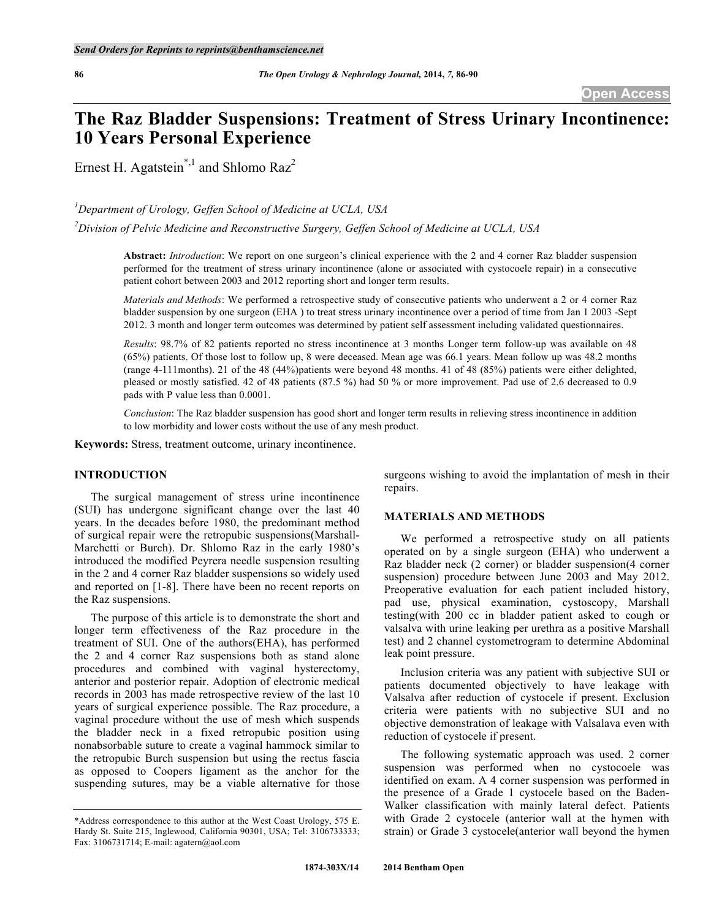# **The Raz Bladder Suspensions: Treatment of Stress Urinary Incontinence: 10 Years Personal Experience**

Ernest H. Agatstein<sup>\*,1</sup> and Shlomo Raz<sup>2</sup>

*1 Department of Urology, Geffen School of Medicine at UCLA, USA*

*2 Division of Pelvic Medicine and Reconstructive Surgery, Geffen School of Medicine at UCLA, USA*

**Abstract:** *Introduction*: We report on one surgeon's clinical experience with the 2 and 4 corner Raz bladder suspension performed for the treatment of stress urinary incontinence (alone or associated with cystocoele repair) in a consecutive patient cohort between 2003 and 2012 reporting short and longer term results.

*Materials and Methods*: We performed a retrospective study of consecutive patients who underwent a 2 or 4 corner Raz bladder suspension by one surgeon (EHA ) to treat stress urinary incontinence over a period of time from Jan 1 2003 -Sept 2012. 3 month and longer term outcomes was determined by patient self assessment including validated questionnaires.

*Results*: 98.7% of 82 patients reported no stress incontinence at 3 months Longer term follow-up was available on 48 (65%) patients. Of those lost to follow up, 8 were deceased. Mean age was 66.1 years. Mean follow up was 48.2 months (range 4-111months). 21 of the 48 (44%)patients were beyond 48 months. 41 of 48 (85%) patients were either delighted, pleased or mostly satisfied. 42 of 48 patients (87.5 %) had 50 % or more improvement. Pad use of 2.6 decreased to 0.9 pads with P value less than 0.0001.

*Conclusion*: The Raz bladder suspension has good short and longer term results in relieving stress incontinence in addition to low morbidity and lower costs without the use of any mesh product.

**Keywords:** Stress, treatment outcome, urinary incontinence.

## **INTRODUCTION**

The surgical management of stress urine incontinence (SUI) has undergone significant change over the last 40 years. In the decades before 1980, the predominant method of surgical repair were the retropubic suspensions(Marshall-Marchetti or Burch). Dr. Shlomo Raz in the early 1980's introduced the modified Peyrera needle suspension resulting in the 2 and 4 corner Raz bladder suspensions so widely used and reported on [1-8]. There have been no recent reports on the Raz suspensions.

The purpose of this article is to demonstrate the short and longer term effectiveness of the Raz procedure in the treatment of SUI. One of the authors(EHA), has performed the 2 and 4 corner Raz suspensions both as stand alone procedures and combined with vaginal hysterectomy, anterior and posterior repair. Adoption of electronic medical records in 2003 has made retrospective review of the last 10 years of surgical experience possible. The Raz procedure, a vaginal procedure without the use of mesh which suspends the bladder neck in a fixed retropubic position using nonabsorbable suture to create a vaginal hammock similar to the retropubic Burch suspension but using the rectus fascia as opposed to Coopers ligament as the anchor for the suspending sutures, may be a viable alternative for those

surgeons wishing to avoid the implantation of mesh in their repairs.

# **MATERIALS AND METHODS**

We performed a retrospective study on all patients operated on by a single surgeon (EHA) who underwent a Raz bladder neck (2 corner) or bladder suspension(4 corner suspension) procedure between June 2003 and May 2012. Preoperative evaluation for each patient included history, pad use, physical examination, cystoscopy, Marshall testing(with 200 cc in bladder patient asked to cough or valsalva with urine leaking per urethra as a positive Marshall test) and 2 channel cystometrogram to determine Abdominal leak point pressure.

Inclusion criteria was any patient with subjective SUI or patients documented objectively to have leakage with Valsalva after reduction of cystocele if present. Exclusion criteria were patients with no subjective SUI and no objective demonstration of leakage with Valsalava even with reduction of cystocele if present.

The following systematic approach was used. 2 corner suspension was performed when no cystocoele was identified on exam. A 4 corner suspension was performed in the presence of a Grade 1 cystocele based on the Baden-Walker classification with mainly lateral defect. Patients with Grade 2 cystocele (anterior wall at the hymen with strain) or Grade 3 cystocele(anterior wall beyond the hymen

<sup>\*</sup>Address correspondence to this author at the West Coast Urology, 575 E. Hardy St. Suite 215, Inglewood, California 90301, USA; Tel: 3106733333; Fax: 3106731714; E-mail: agatern@aol.com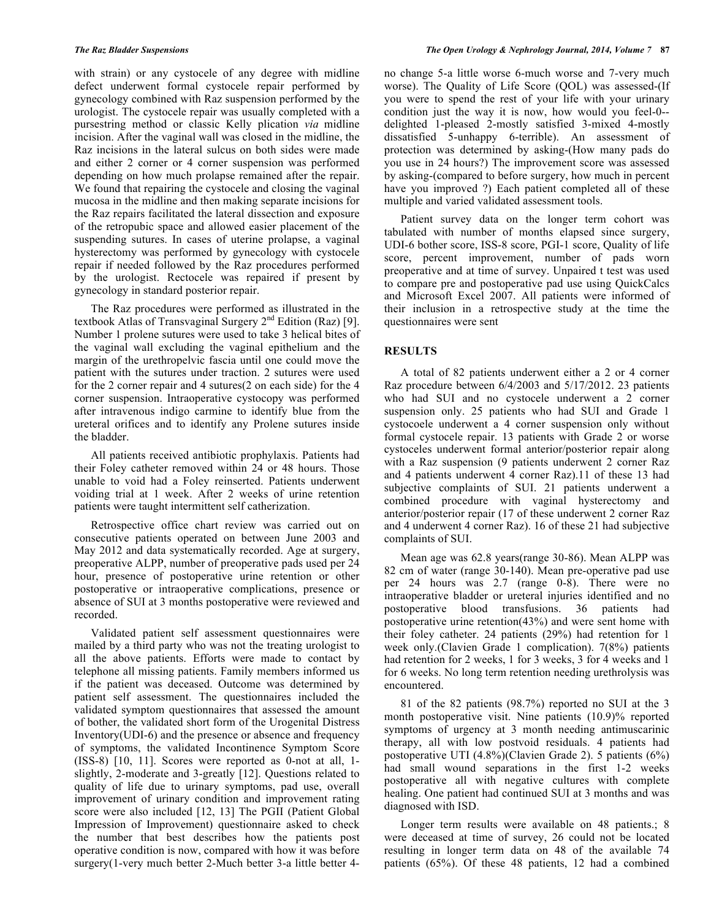with strain) or any cystocele of any degree with midline defect underwent formal cystocele repair performed by gynecology combined with Raz suspension performed by the urologist. The cystocele repair was usually completed with a pursestring method or classic Kelly plication *via* midline incision. After the vaginal wall was closed in the midline, the Raz incisions in the lateral sulcus on both sides were made and either 2 corner or 4 corner suspension was performed depending on how much prolapse remained after the repair. We found that repairing the cystocele and closing the vaginal mucosa in the midline and then making separate incisions for the Raz repairs facilitated the lateral dissection and exposure of the retropubic space and allowed easier placement of the suspending sutures. In cases of uterine prolapse, a vaginal hysterectomy was performed by gynecology with cystocele repair if needed followed by the Raz procedures performed by the urologist. Rectocele was repaired if present by gynecology in standard posterior repair.

The Raz procedures were performed as illustrated in the textbook Atlas of Transvaginal Surgery  $2^{nd}$  Edition (Raz) [9]. Number 1 prolene sutures were used to take 3 helical bites of the vaginal wall excluding the vaginal epithelium and the margin of the urethropelvic fascia until one could move the patient with the sutures under traction. 2 sutures were used for the 2 corner repair and 4 sutures(2 on each side) for the 4 corner suspension. Intraoperative cystocopy was performed after intravenous indigo carmine to identify blue from the ureteral orifices and to identify any Prolene sutures inside the bladder.

All patients received antibiotic prophylaxis. Patients had their Foley catheter removed within 24 or 48 hours. Those unable to void had a Foley reinserted. Patients underwent voiding trial at 1 week. After 2 weeks of urine retention patients were taught intermittent self catherization.

Retrospective office chart review was carried out on consecutive patients operated on between June 2003 and May 2012 and data systematically recorded. Age at surgery, preoperative ALPP, number of preoperative pads used per 24 hour, presence of postoperative urine retention or other postoperative or intraoperative complications, presence or absence of SUI at 3 months postoperative were reviewed and recorded.

Validated patient self assessment questionnaires were mailed by a third party who was not the treating urologist to all the above patients. Efforts were made to contact by telephone all missing patients. Family members informed us if the patient was deceased. Outcome was determined by patient self assessment. The questionnaires included the validated symptom questionnaires that assessed the amount of bother, the validated short form of the Urogenital Distress Inventory(UDI-6) and the presence or absence and frequency of symptoms, the validated Incontinence Symptom Score (ISS-8) [10, 11]. Scores were reported as 0-not at all, 1 slightly, 2-moderate and 3-greatly [12]. Questions related to quality of life due to urinary symptoms, pad use, overall improvement of urinary condition and improvement rating score were also included [12, 13] The PGII (Patient Global Impression of Improvement) questionnaire asked to check the number that best describes how the patients post operative condition is now, compared with how it was before surgery(1-very much better 2-Much better 3-a little better 4no change 5-a little worse 6-much worse and 7-very much worse). The Quality of Life Score (QOL) was assessed-(If you were to spend the rest of your life with your urinary condition just the way it is now, how would you feel-0- delighted 1-pleased 2-mostly satisfied 3-mixed 4-mostly dissatisfied 5-unhappy 6-terrible). An assessment of protection was determined by asking-(How many pads do you use in 24 hours?) The improvement score was assessed by asking-(compared to before surgery, how much in percent have you improved ?) Each patient completed all of these multiple and varied validated assessment tools.

Patient survey data on the longer term cohort was tabulated with number of months elapsed since surgery, UDI-6 bother score, ISS-8 score, PGI-1 score, Quality of life score, percent improvement, number of pads worn preoperative and at time of survey. Unpaired t test was used to compare pre and postoperative pad use using QuickCalcs and Microsoft Excel 2007. All patients were informed of their inclusion in a retrospective study at the time the questionnaires were sent

# **RESULTS**

A total of 82 patients underwent either a 2 or 4 corner Raz procedure between 6/4/2003 and 5/17/2012. 23 patients who had SUI and no cystocele underwent a 2 corner suspension only. 25 patients who had SUI and Grade 1 cystocoele underwent a 4 corner suspension only without formal cystocele repair. 13 patients with Grade 2 or worse cystoceles underwent formal anterior/posterior repair along with a Raz suspension (9 patients underwent 2 corner Raz) and 4 patients underwent 4 corner Raz).11 of these 13 had subjective complaints of SUI. 21 patients underwent a combined procedure with vaginal hysterectomy and anterior/posterior repair (17 of these underwent 2 corner Raz and 4 underwent 4 corner Raz). 16 of these 21 had subjective complaints of SUI.

Mean age was 62.8 years(range 30-86). Mean ALPP was 82 cm of water (range 30-140). Mean pre-operative pad use per 24 hours was 2.7 (range 0-8). There were no intraoperative bladder or ureteral injuries identified and no postoperative blood transfusions. 36 patients had postoperative urine retention(43%) and were sent home with their foley catheter. 24 patients (29%) had retention for 1 week only.(Clavien Grade 1 complication). 7(8%) patients had retention for 2 weeks, 1 for 3 weeks, 3 for 4 weeks and 1 for 6 weeks. No long term retention needing urethrolysis was encountered.

81 of the 82 patients (98.7%) reported no SUI at the 3 month postoperative visit. Nine patients (10.9)% reported symptoms of urgency at 3 month needing antimuscarinic therapy, all with low postvoid residuals. 4 patients had postoperative UTI (4.8%)(Clavien Grade 2). 5 patients (6%) had small wound separations in the first 1-2 weeks postoperative all with negative cultures with complete healing. One patient had continued SUI at 3 months and was diagnosed with ISD.

Longer term results were available on 48 patients.; 8 were deceased at time of survey, 26 could not be located resulting in longer term data on 48 of the available 74 patients (65%). Of these 48 patients, 12 had a combined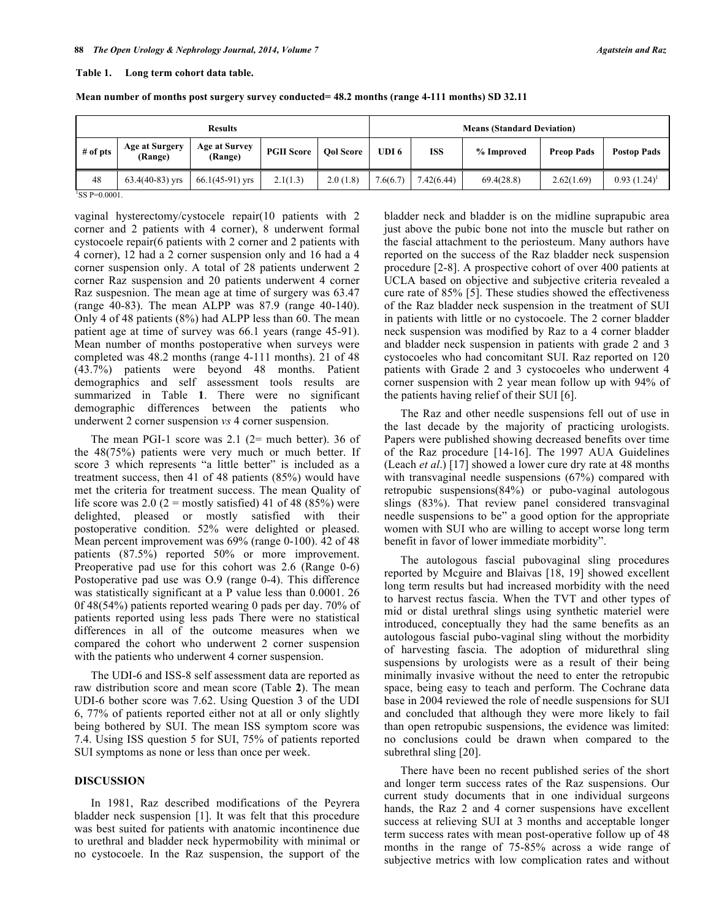#### **Table 1. Long term cohort data table.**

|  | Mean number of months post surgery survey conducted= 48.2 months (range 4-111 months) SD 32.11 |
|--|------------------------------------------------------------------------------------------------|
|  |                                                                                                |

| <b>Results</b>                   |                                 |                   | <b>Means (Standard Deviation)</b> |          |            |            |                   |                    |
|----------------------------------|---------------------------------|-------------------|-----------------------------------|----------|------------|------------|-------------------|--------------------|
| <b>Age at Surgery</b><br>(Range) | <b>Age at Survey</b><br>(Range) | <b>PGII Score</b> | <b>Ool Score</b>                  | UDI 6    | <b>ISS</b> | % Improved | <b>Preop Pads</b> | <b>Postop Pads</b> |
| $63.4(40-83)$ yrs                | $66.1(45-91)$ yrs               | 2.1(1.3)          | 2.0(1.8)                          | 7.6(6.7) | 7.42(6.44) | 69.4(28.8) | 2.62(1.69)        | $0.93(1.24)^1$     |
|                                  |                                 |                   |                                   |          |            |            |                   |                    |

 ${}^{1}$ SS P=0.0001.

vaginal hysterectomy/cystocele repair(10 patients with 2 corner and 2 patients with 4 corner), 8 underwent formal cystocoele repair(6 patients with 2 corner and 2 patients with 4 corner), 12 had a 2 corner suspension only and 16 had a 4 corner suspension only. A total of 28 patients underwent 2 corner Raz suspension and 20 patients underwent 4 corner Raz suspesnion. The mean age at time of surgery was 63.47 (range 40-83). The mean ALPP was 87.9 (range 40-140). Only 4 of 48 patients (8%) had ALPP less than 60. The mean patient age at time of survey was 66.1 years (range 45-91). Mean number of months postoperative when surveys were completed was 48.2 months (range 4-111 months). 21 of 48 (43.7%) patients were beyond 48 months. Patient demographics and self assessment tools results are summarized in Table **1**. There were no significant demographic differences between the patients who underwent 2 corner suspension *vs* 4 corner suspension.

The mean PGI-1 score was  $2.1$  ( $2=$  much better). 36 of the 48(75%) patients were very much or much better. If score 3 which represents "a little better" is included as a treatment success, then 41 of 48 patients (85%) would have met the criteria for treatment success. The mean Quality of life score was 2.0 ( $2 = \text{mostly satisfied}$ ) 41 of 48 (85%) were delighted, pleased or mostly satisfied with their postoperative condition. 52% were delighted or pleased. Mean percent improvement was 69% (range 0-100). 42 of 48 patients (87.5%) reported 50% or more improvement. Preoperative pad use for this cohort was 2.6 (Range 0-6) Postoperative pad use was O.9 (range 0-4). This difference was statistically significant at a P value less than 0.0001. 26 0f 48(54%) patients reported wearing 0 pads per day. 70% of patients reported using less pads There were no statistical differences in all of the outcome measures when we compared the cohort who underwent 2 corner suspension with the patients who underwent 4 corner suspension.

The UDI-6 and ISS-8 self assessment data are reported as raw distribution score and mean score (Table **2**). The mean UDI-6 bother score was 7.62. Using Question 3 of the UDI 6, 77% of patients reported either not at all or only slightly being bothered by SUI. The mean ISS symptom score was 7.4. Using ISS question 5 for SUI, 75% of patients reported SUI symptoms as none or less than once per week.

# **DISCUSSION**

In 1981, Raz described modifications of the Peyrera bladder neck suspension [1]. It was felt that this procedure was best suited for patients with anatomic incontinence due to urethral and bladder neck hypermobility with minimal or no cystocoele. In the Raz suspension, the support of the

bladder neck and bladder is on the midline suprapubic area just above the pubic bone not into the muscle but rather on the fascial attachment to the periosteum. Many authors have reported on the success of the Raz bladder neck suspension procedure [2-8]. A prospective cohort of over 400 patients at UCLA based on objective and subjective criteria revealed a cure rate of 85% [5]. These studies showed the effectiveness of the Raz bladder neck suspension in the treatment of SUI in patients with little or no cystocoele. The 2 corner bladder neck suspension was modified by Raz to a 4 corner bladder and bladder neck suspension in patients with grade 2 and 3 cystocoeles who had concomitant SUI. Raz reported on 120 patients with Grade 2 and 3 cystocoeles who underwent 4 corner suspension with 2 year mean follow up with 94% of the patients having relief of their SUI [6].

The Raz and other needle suspensions fell out of use in the last decade by the majority of practicing urologists. Papers were published showing decreased benefits over time of the Raz procedure [14-16]. The 1997 AUA Guidelines (Leach *et al*.) [17] showed a lower cure dry rate at 48 months with transvaginal needle suspensions (67%) compared with retropubic suspensions(84%) or pubo-vaginal autologous slings (83%). That review panel considered transvaginal needle suspensions to be" a good option for the appropriate women with SUI who are willing to accept worse long term benefit in favor of lower immediate morbidity".

The autologous fascial pubovaginal sling procedures reported by Mcguire and Blaivas [18, 19] showed excellent long term results but had increased morbidity with the need to harvest rectus fascia. When the TVT and other types of mid or distal urethral slings using synthetic materiel were introduced, conceptually they had the same benefits as an autologous fascial pubo-vaginal sling without the morbidity of harvesting fascia. The adoption of midurethral sling suspensions by urologists were as a result of their being minimally invasive without the need to enter the retropubic space, being easy to teach and perform. The Cochrane data base in 2004 reviewed the role of needle suspensions for SUI and concluded that although they were more likely to fail than open retropubic suspensions, the evidence was limited: no conclusions could be drawn when compared to the subrethral sling [20].

There have been no recent published series of the short and longer term success rates of the Raz suspensions. Our current study documents that in one individual surgeons hands, the Raz 2 and 4 corner suspensions have excellent success at relieving SUI at 3 months and acceptable longer term success rates with mean post-operative follow up of 48 months in the range of 75-85% across a wide range of subjective metrics with low complication rates and without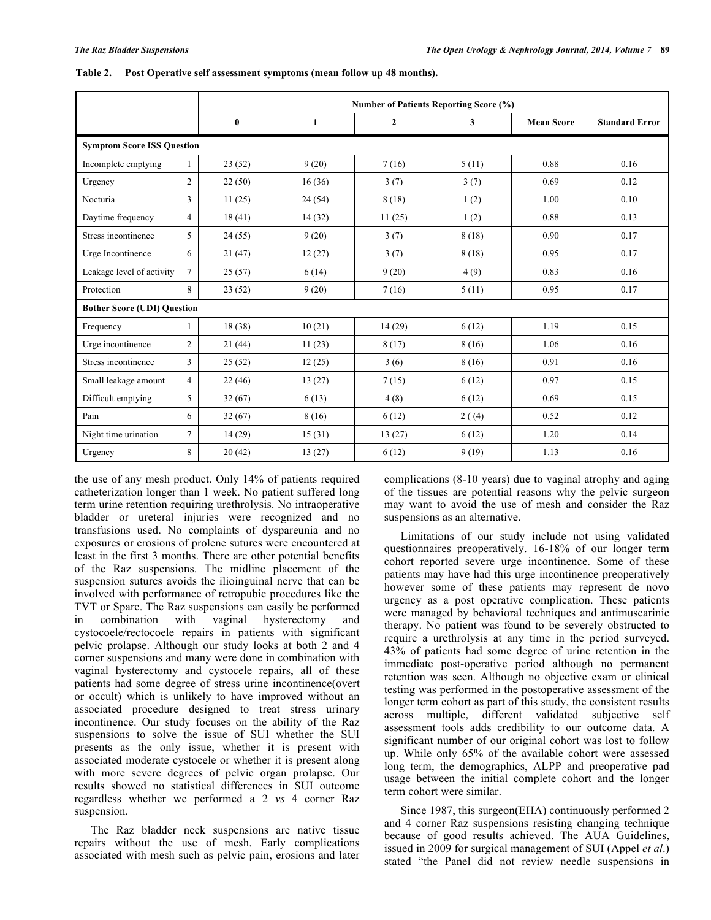|                                    |                | <b>Number of Patients Reporting Score (%)</b> |        |                  |        |                   |                       |  |
|------------------------------------|----------------|-----------------------------------------------|--------|------------------|--------|-------------------|-----------------------|--|
|                                    |                | $\bf{0}$                                      | 1      | $\boldsymbol{2}$ | 3      | <b>Mean Score</b> | <b>Standard Error</b> |  |
| <b>Symptom Score ISS Question</b>  |                |                                               |        |                  |        |                   |                       |  |
| Incomplete emptying                | 1              | 23(52)                                        | 9(20)  | 7(16)            | 5(11)  | 0.88              | 0.16                  |  |
| Urgency                            | $\overline{c}$ | 22(50)                                        | 16(36) | 3(7)             | 3(7)   | 0.69              | 0.12                  |  |
| Nocturia                           | 3              | 11(25)                                        | 24(54) | 8(18)            | 1(2)   | 1.00              | 0.10                  |  |
| Daytime frequency                  | $\overline{4}$ | 18(41)                                        | 14(32) | 11(25)           | 1(2)   | 0.88              | 0.13                  |  |
| Stress incontinence                | 5              | 24(55)                                        | 9(20)  | 3(7)             | 8(18)  | 0.90              | 0.17                  |  |
| Urge Incontinence                  | 6              | 21(47)                                        | 12(27) | 3(7)             | 8(18)  | 0.95              | 0.17                  |  |
| Leakage level of activity          | 7              | 25(57)                                        | 6(14)  | 9(20)            | 4(9)   | 0.83              | 0.16                  |  |
| Protection                         | 8              | 23(52)                                        | 9(20)  | 7(16)            | 5(11)  | 0.95              | 0.17                  |  |
| <b>Bother Score (UDI) Question</b> |                |                                               |        |                  |        |                   |                       |  |
| Frequency                          | 1              | 18(38)                                        | 10(21) | 14(29)           | 6(12)  | 1.19              | 0.15                  |  |
| Urge incontinence                  | $\overline{2}$ | 21(44)                                        | 11(23) | 8(17)            | 8(16)  | 1.06              | 0.16                  |  |
| Stress incontinence                | 3              | 25(52)                                        | 12(25) | 3(6)             | 8(16)  | 0.91              | 0.16                  |  |
| Small leakage amount               | $\overline{4}$ | 22(46)                                        | 13(27) | 7(15)            | 6(12)  | 0.97              | 0.15                  |  |
| Difficult emptying                 | 5              | 32(67)                                        | 6(13)  | 4(8)             | 6(12)  | 0.69              | 0.15                  |  |
| Pain                               | 6              | 32(67)                                        | 8(16)  | 6(12)            | 2( (4) | 0.52              | 0.12                  |  |
| Night time urination               | 7              | 14(29)                                        | 15(31) | 13(27)           | 6(12)  | 1.20              | 0.14                  |  |
| Urgency                            | 8              | 20(42)                                        | 13(27) | 6(12)            | 9(19)  | 1.13              | 0.16                  |  |

**Table 2. Post Operative self assessment symptoms (mean follow up 48 months).**

the use of any mesh product. Only 14% of patients required catheterization longer than 1 week. No patient suffered long term urine retention requiring urethrolysis. No intraoperative bladder or ureteral injuries were recognized and no transfusions used. No complaints of dyspareunia and no exposures or erosions of prolene sutures were encountered at least in the first 3 months. There are other potential benefits of the Raz suspensions. The midline placement of the suspension sutures avoids the ilioinguinal nerve that can be involved with performance of retropubic procedures like the TVT or Sparc. The Raz suspensions can easily be performed in combination with vaginal hysterectomy and cystocoele/rectocoele repairs in patients with significant pelvic prolapse. Although our study looks at both 2 and 4 corner suspensions and many were done in combination with vaginal hysterectomy and cystocele repairs, all of these patients had some degree of stress urine incontinence(overt or occult) which is unlikely to have improved without an associated procedure designed to treat stress urinary incontinence. Our study focuses on the ability of the Raz suspensions to solve the issue of SUI whether the SUI presents as the only issue, whether it is present with associated moderate cystocele or whether it is present along with more severe degrees of pelvic organ prolapse. Our results showed no statistical differences in SUI outcome regardless whether we performed a 2 *vs* 4 corner Raz suspension.

The Raz bladder neck suspensions are native tissue repairs without the use of mesh. Early complications associated with mesh such as pelvic pain, erosions and later

complications (8-10 years) due to vaginal atrophy and aging of the tissues are potential reasons why the pelvic surgeon may want to avoid the use of mesh and consider the Raz suspensions as an alternative.

Limitations of our study include not using validated questionnaires preoperatively. 16-18% of our longer term cohort reported severe urge incontinence. Some of these patients may have had this urge incontinence preoperatively however some of these patients may represent de novo urgency as a post operative complication. These patients were managed by behavioral techniques and antimuscarinic therapy. No patient was found to be severely obstructed to require a urethrolysis at any time in the period surveyed. 43% of patients had some degree of urine retention in the immediate post-operative period although no permanent retention was seen. Although no objective exam or clinical testing was performed in the postoperative assessment of the longer term cohort as part of this study, the consistent results across multiple, different validated subjective self assessment tools adds credibility to our outcome data. A significant number of our original cohort was lost to follow up. While only 65% of the available cohort were assessed long term, the demographics, ALPP and preoperative pad usage between the initial complete cohort and the longer term cohort were similar.

Since 1987, this surgeon(EHA) continuously performed 2 and 4 corner Raz suspensions resisting changing technique because of good results achieved. The AUA Guidelines, issued in 2009 for surgical management of SUI (Appel *et al*.) stated "the Panel did not review needle suspensions in